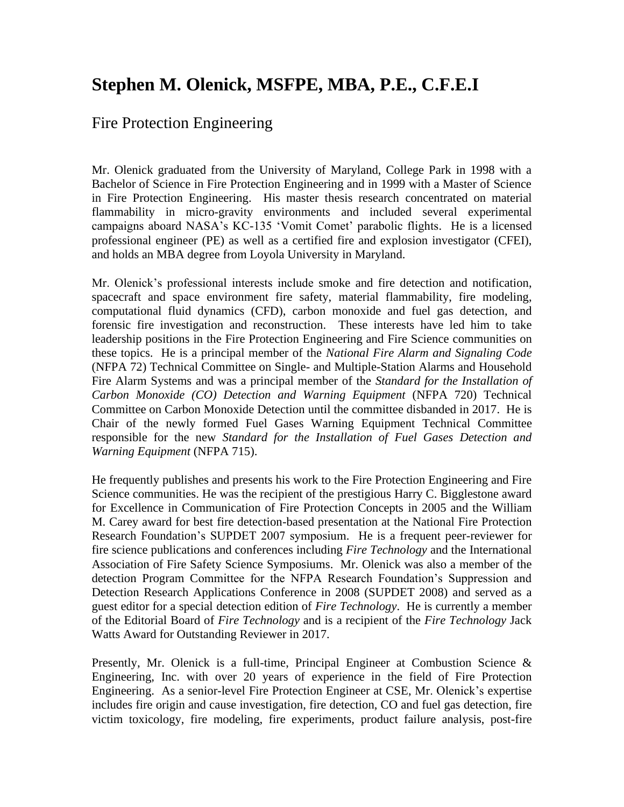## **Stephen M. Olenick, MSFPE, MBA, P.E., C.F.E.I**

## Fire Protection Engineering

Mr. Olenick graduated from the University of Maryland, College Park in 1998 with a Bachelor of Science in Fire Protection Engineering and in 1999 with a Master of Science in Fire Protection Engineering. His master thesis research concentrated on material flammability in micro-gravity environments and included several experimental campaigns aboard NASA's KC-135 'Vomit Comet' parabolic flights. He is a licensed professional engineer (PE) as well as a certified fire and explosion investigator (CFEI), and holds an MBA degree from Loyola University in Maryland.

Mr. Olenick's professional interests include smoke and fire detection and notification, spacecraft and space environment fire safety, material flammability, fire modeling, computational fluid dynamics (CFD), carbon monoxide and fuel gas detection, and forensic fire investigation and reconstruction. These interests have led him to take leadership positions in the Fire Protection Engineering and Fire Science communities on these topics. He is a principal member of the *National Fire Alarm and Signaling Code* (NFPA 72) Technical Committee on Single- and Multiple-Station Alarms and Household Fire Alarm Systems and was a principal member of the *Standard for the Installation of Carbon Monoxide (CO) Detection and Warning Equipment* (NFPA 720) Technical Committee on Carbon Monoxide Detection until the committee disbanded in 2017. He is Chair of the newly formed Fuel Gases Warning Equipment Technical Committee responsible for the new *Standard for the Installation of Fuel Gases Detection and Warning Equipment* (NFPA 715).

He frequently publishes and presents his work to the Fire Protection Engineering and Fire Science communities. He was the recipient of the prestigious Harry C. Bigglestone award for Excellence in Communication of Fire Protection Concepts in 2005 and the William M. Carey award for best fire detection-based presentation at the National Fire Protection Research Foundation's SUPDET 2007 symposium. He is a frequent peer-reviewer for fire science publications and conferences including *Fire Technology* and the International Association of Fire Safety Science Symposiums. Mr. Olenick was also a member of the detection Program Committee for the NFPA Research Foundation's Suppression and Detection Research Applications Conference in 2008 (SUPDET 2008) and served as a guest editor for a special detection edition of *Fire Technology*. He is currently a member of the Editorial Board of *Fire Technology* and is a recipient of the *Fire Technology* Jack Watts Award for Outstanding Reviewer in 2017.

Presently, Mr. Olenick is a full-time, Principal Engineer at Combustion Science & Engineering, Inc. with over 20 years of experience in the field of Fire Protection Engineering. As a senior-level Fire Protection Engineer at CSE, Mr. Olenick's expertise includes fire origin and cause investigation, fire detection, CO and fuel gas detection, fire victim toxicology, fire modeling, fire experiments, product failure analysis, post-fire